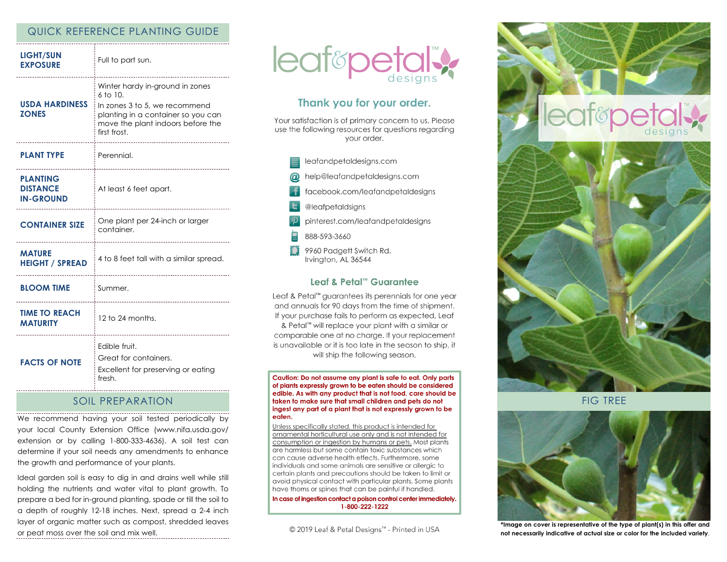## QUICK REFERENCE PLANTING GUIDE

| <b>LIGHT/SUN</b><br><b>EXPOSURE</b>                    | Full to part sun.                                                                                                                                                            |
|--------------------------------------------------------|------------------------------------------------------------------------------------------------------------------------------------------------------------------------------|
| <b>USDA HARDINESS</b><br><b>ZONES</b>                  | Winter hardy in-ground in zones<br>$6$ to $10$ .<br>In zones 3 to 5, we recommend<br>planting in a container so you can<br>move the plant indoors before the<br>first frost. |
| <b>PLANT TYPE</b>                                      | Perennial.                                                                                                                                                                   |
| <b>PLANTING</b><br><b>DISTANCE</b><br><b>IN-GROUND</b> | At least 6 feet apart.                                                                                                                                                       |
| <b>CONTAINER SIZE</b>                                  | One plant per 24-inch or larger<br>container.                                                                                                                                |
| <b>MATURE</b><br><b>HEIGHT / SPREAD</b>                | 4 to 8 feet tall with a similar spread.                                                                                                                                      |
| <b>BLOOM TIME</b>                                      | Summer.<br>________________________________                                                                                                                                  |
| <b>TIME TO REACH</b><br><b>MATURITY</b>                | 12 to 24 months.                                                                                                                                                             |
| <b>FACTS OF NOTE</b>                                   | Edible fruit.<br>Great for containers.<br>Excellent for preserving or eating<br>fresh.                                                                                       |

## SOIL PREPARATION

We recommend having your soil tested periodically by your local County Extension Office (www.nifa.usda.gov/ extension or by calling 1-800-333-4636). A soil test can determine if your soil needs any amendments to enhance the growth and performance of your plants.

Ideal garden soil is easy to dig in and drains well while still holding the nutrients and water vital to plant growth. To prepare a bed for in-ground planting, spade or till the soil to a depth of roughly 12-18 inches. Next, spread a 2-4 inch layer of organic matter such as compost, shredded leaves or peat moss over the soil and mix well.



# Thank you for your order.

Your satisfaction is of primary concern to us. Please use the following resources for questions regarding vour order.



## Leaf & Petal™ Guarantee

Leaf & Petal<sup>™</sup> guarantees its perennials for one year and annuals for 90 days from the time of shipment. If your purchase fails to perform as expected, Leaf & Petal™ will replace your plant with a similar or comparable one at no charge. If your replacement is unavailable or it is too late in the season to ship, it will ship the following season.

Caution: Do not assume any plant is safe to eat. Only parts of plants expressly grown to be eaten should be considered edible. As with any product that is not food, care should be taken to make sure that small children and pets do not ingest any part of a plant that is not expressly grown to be eaten.

Unless specifically stated, this product is intended for ornamental horticultural use only and is not intended for consumption or ingestion by humans or pets. Most plants are harmless but some contain toxic substances which can cause adverse health effects. Furthermore, some individuals and some animals are sensitive or allergic to certain plants and precautions should be taken to limit or avoid physical contact with particular plants. Some plants have thorns or spines that can be painful if handled.

In case of ingestion contact a poison control center immediately. 1-800-222-1222

© 2019 Leaf & Petal Designs™ - Printed in USA



FIG TREE



**\*Image on cover is representative of the type of plant(s) in this offer and not necessarily indicative of actual size or color for the included variety**.